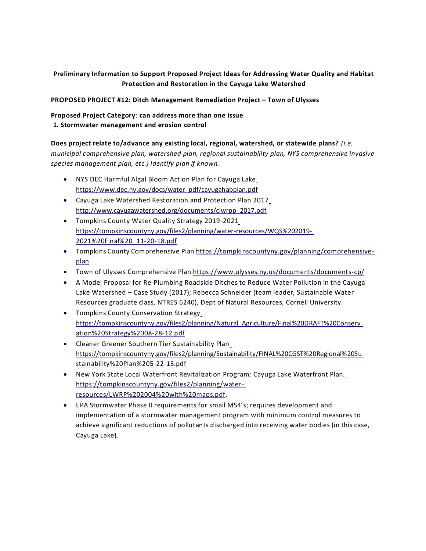# **Preliminary Information to Support Proposed Project Ideas for Addressing Water Quality and Habitat Protection and Restoration in the Cayuga Lake Watershed**

**PROPOSED PROJECT #12: Ditch Management Remediation Project – Town of Ulysses** 

# **Proposed Project Category**: **can address more than one issue 1. Stormwater management and erosion control**

### **Does project relate to/advance any existing local, regional, watershed, or statewide plans?** *(i.e.*

*municipal comprehensive plan, watershed plan, regional sustainability plan, NYS comprehensive invasive species management plan, etc.) Identify plan if known.*

- NYS DEC Harmful Algal Bloom Action Plan for Cayuga Lake https:/[/www.dec.ny.gov/docs/water\\_pdf/cayugahabplan.pdf](http://www.dec.ny.gov/docs/water_pdf/cayugahabplan.pdf)
- Cayuga Lake Watershed Restoration and Protection Plan 2017 [http://www.cayugawatershed.org/documents/clwrpp\\_2017.pdf](http://www.cayugawatershed.org/documents/clwrpp_2017.pdf)
- Tompkins County Water Quality Strategy 2019-2021 https://tompkinscountyny.gov/files2/planning/water-resources/WQS%202019- 2021%20Final%20\_11-20-18.pdf
- Tompkins County Comprehensive Plan https://tompkinscountyny.gov/planning/comprehensiveplan
- Town of Ulysses Comprehensive Plan https:/[/www.ulysses.ny.us/documents/documents-cp/](http://www.ulysses.ny.us/documents/documents-cp/)
- A Model Proposal for Re-Plumbing Roadside Ditches to Reduce Water Pollution in the Cayuga Lake Watershed – Case Study (2017); Rebecca Schneider (team leader, Sustainable Water Resources graduate class, NTRES 6240), Dept of Natural Resources, Cornell University.
- Tompkins County Conservation Strategy https://tompkinscountyny.gov/files2/planning/Natural\_Agriculture/Final%20DRAFT%20Conserv ation%20Strategy%2008-28-12.pdf
- Cleaner Greener Southern Tier Sustainability Plan https://tompkinscountyny.gov/files2/planning/Sustainability/FINAL%20CGST%20Regional%20Su stainability%20Plan%205-22-13.pdf
- New York State Local Waterfront Revitalization Program: Cayuga Lake Waterfront Plan. https://tompkinscountyny.gov/files2/planning/waterresources/LWRP%202004%20with%20maps.pdf.
- EPA Stormwater Phase II requirements for small MS4's; requires development and implementation of a stormwater management program with minimum control measures to achieve significant reductions of pollutants discharged into receiving water bodies (in this case, Cayuga Lake).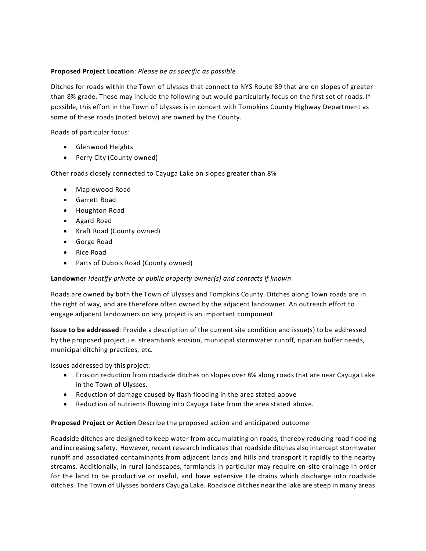## **Proposed Project Location**: *Please be as specific as possible.*

Ditches for roads within the Town of Ulysses that connect to NYS Route 89 that are on slopes of greater than 8% grade. These may include the following but would particularly focus on the first set of roads. If possible, this effort in the Town of Ulysses is in concert with Tompkins County Highway Department as some of these roads (noted below) are owned by the County.

Roads of particular focus:

- Glenwood Heights
- Perry City (County owned)

Other roads closely connected to Cayuga Lake on slopes greater than 8%

- Maplewood Road
- Garrett Road
- Houghton Road
- Agard Road
- Kraft Road (County owned)
- Gorge Road
- Rice Road
- Parts of Dubois Road (County owned)

### **Landowner** *Identify private or public property owner(s) and contacts if known*

Roads are owned by both the Town of Ulysses and Tompkins County. Ditches along Town roads are in the right of way, and are therefore often owned by the adjacent landowner. An outreach effort to engage adjacent landowners on any project is an important component.

**Issue to be addressed**: Provide a description of the current site condition and issue(s) to be addressed by the proposed project i.e. streambank erosion, municipal stormwater runoff, riparian buffer needs, municipal ditching practices, etc.

Issues addressed by this project:

- Erosion reduction from roadside ditches on slopes over 8% along roadsthat are near Cayuga Lake in the Town of Ulysses.
- Reduction of damage caused by flash flooding in the area stated above
- Reduction of nutrients flowing into Cayuga Lake from the area stated above.

### **Proposed Project or Action** Describe the proposed action and anticipated outcome

Roadside ditches are designed to keep water from accumulating on roads, thereby reducing road flooding and increasing safety. However, recent research indicatesthat roadside ditches also intercept stormwater runoff and associated contaminants from adjacent lands and hills and transport it rapidly to the nearby streams. Additionally, in rural landscapes, farmlands in particular may require on -site drainage in order for the land to be productive or useful, and have extensive tile drains which discharge into roadside ditches. The Town of Ulysses borders Cayuga Lake. Roadside ditches near the lake are steep in many areas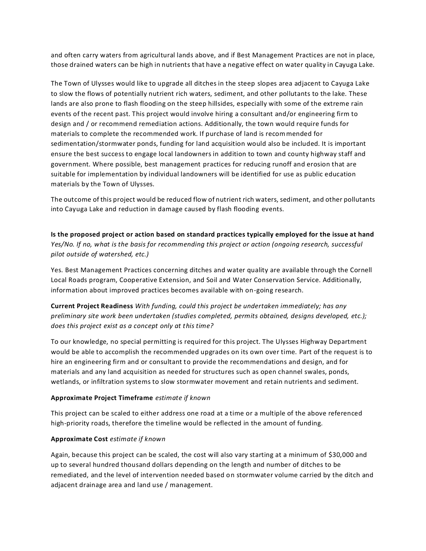and often carry waters from agricultural lands above, and if Best Management Practices are not in place, those drained waters can be high in nutrients that have a negative effect on water quality in Cayuga Lake.

The Town of Ulysses would like to upgrade all ditches in the steep slopes area adjacent to Cayuga Lake to slow the flows of potentially nutrient rich waters, sediment, and other pollutants to the lake. These lands are also prone to flash flooding on the steep hillsides, especially with some of the extreme rain events of the recent past. This project would involve hiring a consultant and/or engineering firm to design and / or recommend remediation actions. Additionally, the town would require funds for materials to complete the recommended work. If purchase of land is recommended for sedimentation/stormwater ponds, funding for land acquisition would also be included. It is important ensure the best success to engage local landowners in addition to town and county highway staff and government. Where possible, best management practices for reducing runoff and erosion that are suitable for implementation by individual landowners will be identified for use as public education materials by the Town of Ulysses.

The outcome of this project would be reduced flow of nutrient rich waters, sediment, and other pollutants into Cayuga Lake and reduction in damage caused by flash flooding events.

**Is the proposed project or action based on standard practices typically employed for the issue at hand**  *Yes/No. If no, what is the basis for recommending this project or action (ongoing research, successful pilot outside of watershed, etc.)*

Yes. Best Management Practices concerning ditches and water quality are available through the Cornell Local Roads program, Cooperative Extension, and Soil and Water Conservation Service. Additionally, information about improved practices becomes available with on-going research.

**Current Project Readiness** *With funding, could this project be undertaken immediately; has any preliminary site work been undertaken (studies completed, permits obtained, designs developed, etc.); does this project exist as a concept only at this time?*

To our knowledge, no special permitting is required for this project. The Ulysses Highway Department would be able to accomplish the recommended upgrades on its own over time. Part of the request is to hire an engineering firm and or consultant to provide the recommendations and design, and for materials and any land acquisition as needed for structures such as open channel swales, ponds, wetlands, or infiltration systems to slow stormwater movement and retain nutrients and sediment.

### **Approximate Project Timeframe** *estimate if known*

This project can be scaled to either address one road at a time or a multiple of the above referenced high-priority roads, therefore the timeline would be reflected in the amount of funding.

#### **Approximate Cost** *estimate if known*

Again, because this project can be scaled, the cost will also vary starting at a minimum of \$30,000 and up to several hundred thousand dollars depending on the length and number of ditches to be remediated, and the level of intervention needed based on stormwater volume carried by the ditch and adjacent drainage area and land use / management.